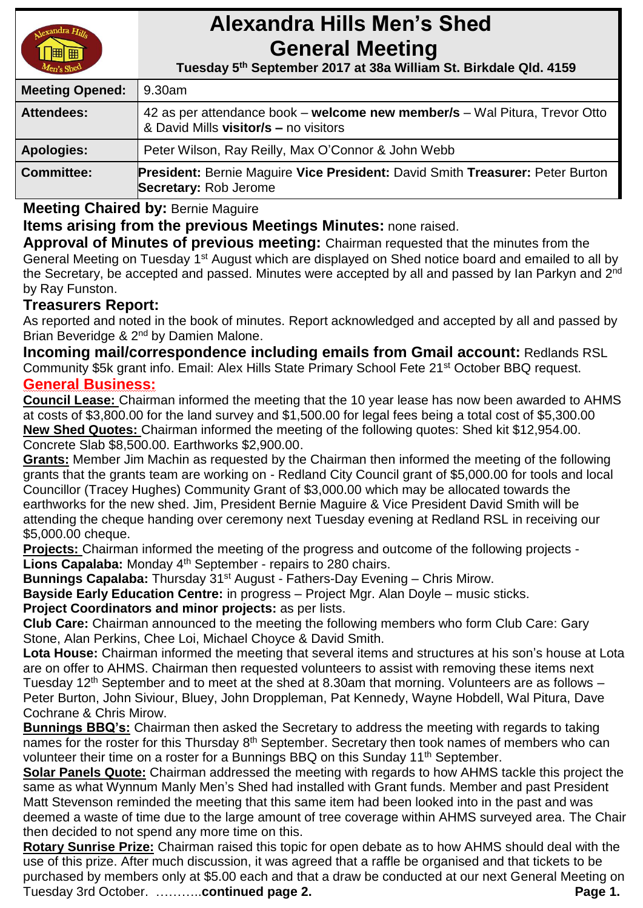

# **Alexandra Hills Men's Shed General Meeting**

 **Tuesday 5 th September 2017 at 38a William St. Birkdale Qld. 4159** 

| <b>Meeting Opened:</b> | 9.30am                                                                                                               |
|------------------------|----------------------------------------------------------------------------------------------------------------------|
| <b>Attendees:</b>      | 42 as per attendance book – welcome new member/s – Wal Pitura, Trevor Otto<br>& David Mills visitor/s - no visitors  |
| <b>Apologies:</b>      | Peter Wilson, Ray Reilly, Max O'Connor & John Webb                                                                   |
| <b>Committee:</b>      | <b>President: Bernie Maguire Vice President: David Smith Treasurer: Peter Burton</b><br><b>Secretary: Rob Jerome</b> |

**Meeting Chaired by:** Bernie Maguire

**Items arising from the previous Meetings Minutes:** none raised.

**Approval of Minutes of previous meeting:** Chairman requested that the minutes from the General Meeting on Tuesday 1<sup>st</sup> August which are displayed on Shed notice board and emailed to all by the Secretary, be accepted and passed. Minutes were accepted by all and passed by Ian Parkyn and 2<sup>nd</sup> by Ray Funston.

# **Treasurers Report:**

As reported and noted in the book of minutes. Report acknowledged and accepted by all and passed by Brian Beveridge & 2<sup>nd</sup> by Damien Malone.

**Incoming mail/correspondence including emails from Gmail account:** Redlands RSL Community \$5k grant info. Email: Alex Hills State Primary School Fete 21<sup>st</sup> October BBQ request. **General Business:**

**Council Lease:** Chairman informed the meeting that the 10 year lease has now been awarded to AHMS at costs of \$3,800.00 for the land survey and \$1,500.00 for legal fees being a total cost of \$5,300.00 **New Shed Quotes:** Chairman informed the meeting of the following quotes: Shed kit \$12,954.00. Concrete Slab \$8,500.00. Earthworks \$2,900.00.

**Grants:** Member Jim Machin as requested by the Chairman then informed the meeting of the following grants that the grants team are working on - Redland City Council grant of \$5,000.00 for tools and local Councillor (Tracey Hughes) Community Grant of \$3,000.00 which may be allocated towards the earthworks for the new shed. Jim, President Bernie Maguire & Vice President David Smith will be attending the cheque handing over ceremony next Tuesday evening at Redland RSL in receiving our \$5,000.00 cheque.

**Projects:** Chairman informed the meeting of the progress and outcome of the following projects - Lions Capalaba: Monday 4<sup>th</sup> September - repairs to 280 chairs.

**Bunnings Capalaba:** Thursday 31<sup>st</sup> August - Fathers-Day Evening – Chris Mirow.

**Bayside Early Education Centre:** in progress – Project Mgr. Alan Doyle – music sticks.

**Project Coordinators and minor projects:** as per lists.

**Club Care:** Chairman announced to the meeting the following members who form Club Care: Gary Stone, Alan Perkins, Chee Loi, Michael Choyce & David Smith.

**Lota House:** Chairman informed the meeting that several items and structures at his son's house at Lota are on offer to AHMS. Chairman then requested volunteers to assist with removing these items next Tuesday 12<sup>th</sup> September and to meet at the shed at 8.30am that morning. Volunteers are as follows  $-$ Peter Burton, John Siviour, Bluey, John Droppleman, Pat Kennedy, Wayne Hobdell, Wal Pitura, Dave Cochrane & Chris Mirow.

**Bunnings BBQ's:** Chairman then asked the Secretary to address the meeting with regards to taking names for the roster for this Thursday 8<sup>th</sup> September. Secretary then took names of members who can volunteer their time on a roster for a Bunnings BBQ on this Sunday 11<sup>th</sup> September.

**Solar Panels Quote:** Chairman addressed the meeting with regards to how AHMS tackle this project the same as what Wynnum Manly Men's Shed had installed with Grant funds. Member and past President Matt Stevenson reminded the meeting that this same item had been looked into in the past and was deemed a waste of time due to the large amount of tree coverage within AHMS surveyed area. The Chair then decided to not spend any more time on this.

**Rotary Sunrise Prize:** Chairman raised this topic for open debate as to how AHMS should deal with the use of this prize. After much discussion, it was agreed that a raffle be organised and that tickets to be purchased by members only at \$5.00 each and that a draw be conducted at our next General Meeting on Tuesday 3rd October. ………..**continued page 2. Page 1. Page 1. Page 1.**